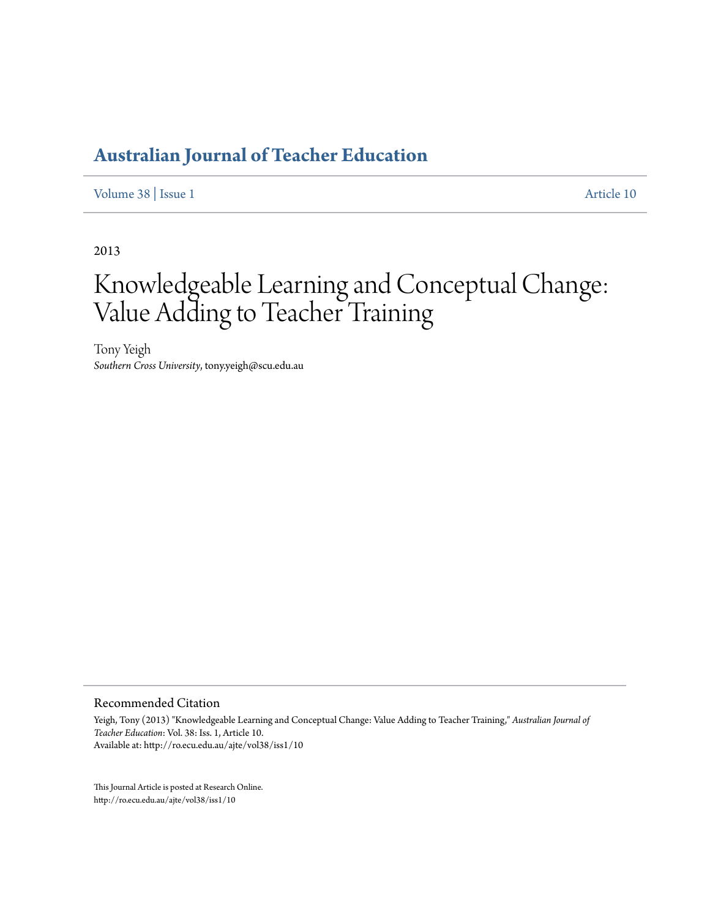# **[Australian Journal of Teacher Education](http://ro.ecu.edu.au/ajte)**

[Volume 38](http://ro.ecu.edu.au/ajte/vol38) | [Issue 1](http://ro.ecu.edu.au/ajte/vol38/iss1) [Article 10](http://ro.ecu.edu.au/ajte/vol38/iss1/10)

2013

# Knowledgeable Learning and Conceptual Change: Value Adding to Teacher Training

Tony Yeigh *Southern Cross University*, tony.yeigh@scu.edu.au

Recommended Citation

Yeigh, Tony (2013) "Knowledgeable Learning and Conceptual Change: Value Adding to Teacher Training," *Australian Journal of Teacher Education*: Vol. 38: Iss. 1, Article 10. Available at: http://ro.ecu.edu.au/ajte/vol38/iss1/10

This Journal Article is posted at Research Online. http://ro.ecu.edu.au/ajte/vol38/iss1/10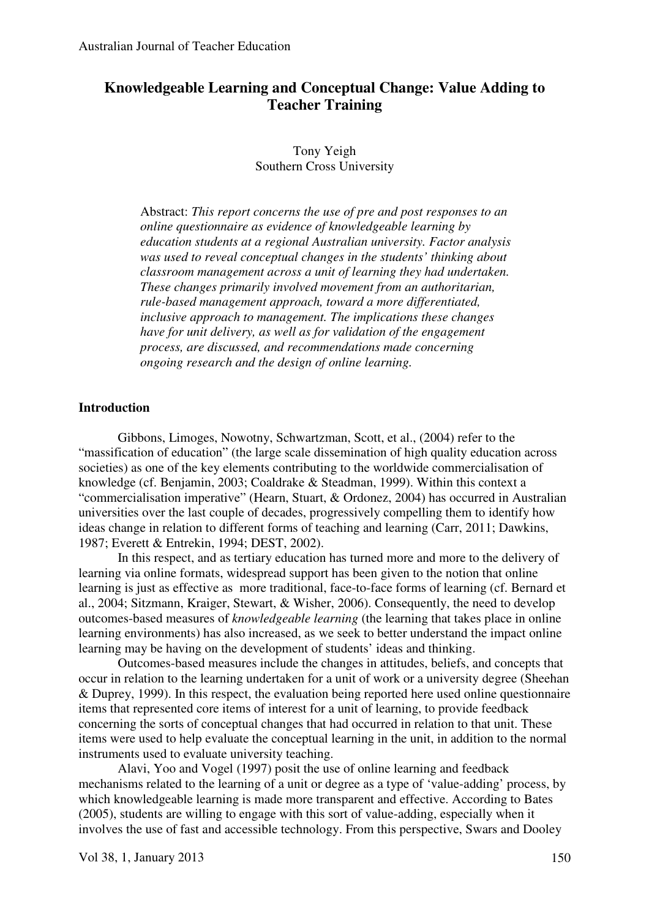# **Knowledgeable Learning and Conceptual Change: Value Adding to Teacher Training**

Tony Yeigh Southern Cross University

Abstract: *This report concerns the use of pre and post responses to an online questionnaire as evidence of knowledgeable learning by education students at a regional Australian university. Factor analysis was used to reveal conceptual changes in the students' thinking about classroom management across a unit of learning they had undertaken. These changes primarily involved movement from an authoritarian, rule-based management approach, toward a more differentiated, inclusive approach to management. The implications these changes have for unit delivery, as well as for validation of the engagement process, are discussed, and recommendations made concerning ongoing research and the design of online learning.* 

#### **Introduction**

Gibbons, Limoges, Nowotny, Schwartzman, Scott, et al., (2004) refer to the "massification of education" (the large scale dissemination of high quality education across societies) as one of the key elements contributing to the worldwide commercialisation of knowledge (cf. Benjamin, 2003; Coaldrake & Steadman, 1999). Within this context a "commercialisation imperative" (Hearn, Stuart, & Ordonez, 2004) has occurred in Australian universities over the last couple of decades, progressively compelling them to identify how ideas change in relation to different forms of teaching and learning (Carr, 2011; Dawkins, 1987; Everett & Entrekin, 1994; DEST, 2002).

In this respect, and as tertiary education has turned more and more to the delivery of learning via online formats, widespread support has been given to the notion that online learning is just as effective as more traditional, face-to-face forms of learning (cf. Bernard et al., 2004; Sitzmann, Kraiger, Stewart, & Wisher, 2006). Consequently, the need to develop outcomes-based measures of *knowledgeable learning* (the learning that takes place in online learning environments) has also increased, as we seek to better understand the impact online learning may be having on the development of students' ideas and thinking.

 Outcomes-based measures include the changes in attitudes, beliefs, and concepts that occur in relation to the learning undertaken for a unit of work or a university degree (Sheehan & Duprey, 1999). In this respect, the evaluation being reported here used online questionnaire items that represented core items of interest for a unit of learning, to provide feedback concerning the sorts of conceptual changes that had occurred in relation to that unit. These items were used to help evaluate the conceptual learning in the unit, in addition to the normal instruments used to evaluate university teaching.

Alavi, Yoo and Vogel (1997) posit the use of online learning and feedback mechanisms related to the learning of a unit or degree as a type of 'value-adding' process, by which knowledgeable learning is made more transparent and effective. According to Bates (2005), students are willing to engage with this sort of value-adding, especially when it involves the use of fast and accessible technology. From this perspective, Swars and Dooley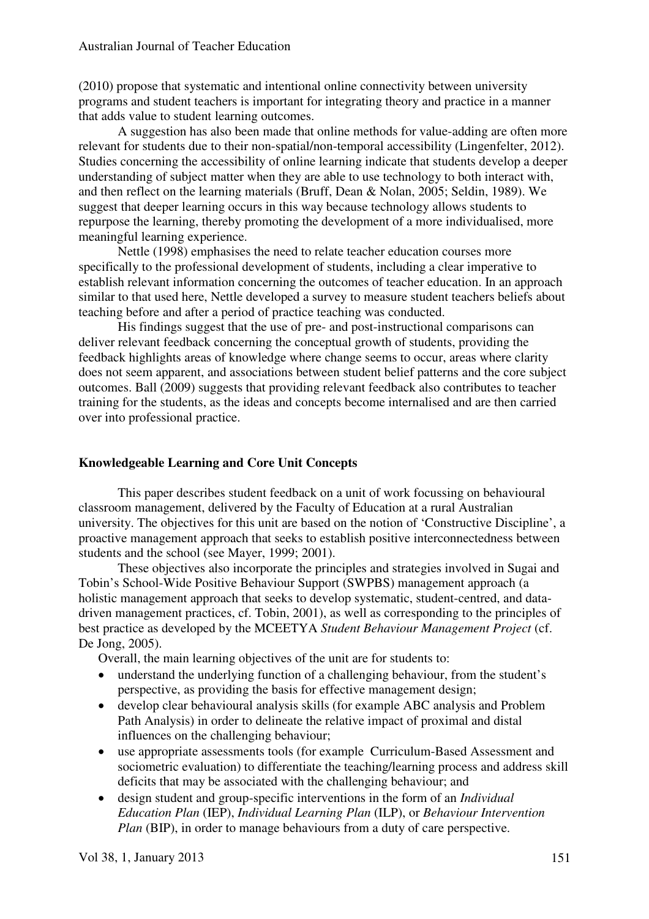(2010) propose that systematic and intentional online connectivity between university programs and student teachers is important for integrating theory and practice in a manner that adds value to student learning outcomes.

 A suggestion has also been made that online methods for value-adding are often more relevant for students due to their non-spatial/non-temporal accessibility (Lingenfelter, 2012). Studies concerning the accessibility of online learning indicate that students develop a deeper understanding of subject matter when they are able to use technology to both interact with, and then reflect on the learning materials (Bruff, Dean & Nolan, 2005; Seldin, 1989). We suggest that deeper learning occurs in this way because technology allows students to repurpose the learning, thereby promoting the development of a more individualised, more meaningful learning experience.

Nettle (1998) emphasises the need to relate teacher education courses more specifically to the professional development of students, including a clear imperative to establish relevant information concerning the outcomes of teacher education. In an approach similar to that used here, Nettle developed a survey to measure student teachers beliefs about teaching before and after a period of practice teaching was conducted.

His findings suggest that the use of pre- and post-instructional comparisons can deliver relevant feedback concerning the conceptual growth of students, providing the feedback highlights areas of knowledge where change seems to occur, areas where clarity does not seem apparent, and associations between student belief patterns and the core subject outcomes. Ball (2009) suggests that providing relevant feedback also contributes to teacher training for the students, as the ideas and concepts become internalised and are then carried over into professional practice.

# **Knowledgeable Learning and Core Unit Concepts**

This paper describes student feedback on a unit of work focussing on behavioural classroom management, delivered by the Faculty of Education at a rural Australian university. The objectives for this unit are based on the notion of 'Constructive Discipline', a proactive management approach that seeks to establish positive interconnectedness between students and the school (see Mayer, 1999; 2001).

These objectives also incorporate the principles and strategies involved in Sugai and Tobin's School-Wide Positive Behaviour Support (SWPBS) management approach (a holistic management approach that seeks to develop systematic, student-centred, and datadriven management practices, cf. Tobin, 2001), as well as corresponding to the principles of best practice as developed by the MCEETYA *Student Behaviour Management Project* (cf. De Jong, 2005).

Overall, the main learning objectives of the unit are for students to:

- understand the underlying function of a challenging behaviour, from the student's perspective, as providing the basis for effective management design;
- develop clear behavioural analysis skills (for example ABC analysis and Problem Path Analysis) in order to delineate the relative impact of proximal and distal influences on the challenging behaviour;
- use appropriate assessments tools (for example Curriculum-Based Assessment and sociometric evaluation) to differentiate the teaching/learning process and address skill deficits that may be associated with the challenging behaviour; and
- design student and group-specific interventions in the form of an *Individual Education Plan* (IEP), *Individual Learning Plan* (ILP), or *Behaviour Intervention Plan* (BIP), in order to manage behaviours from a duty of care perspective.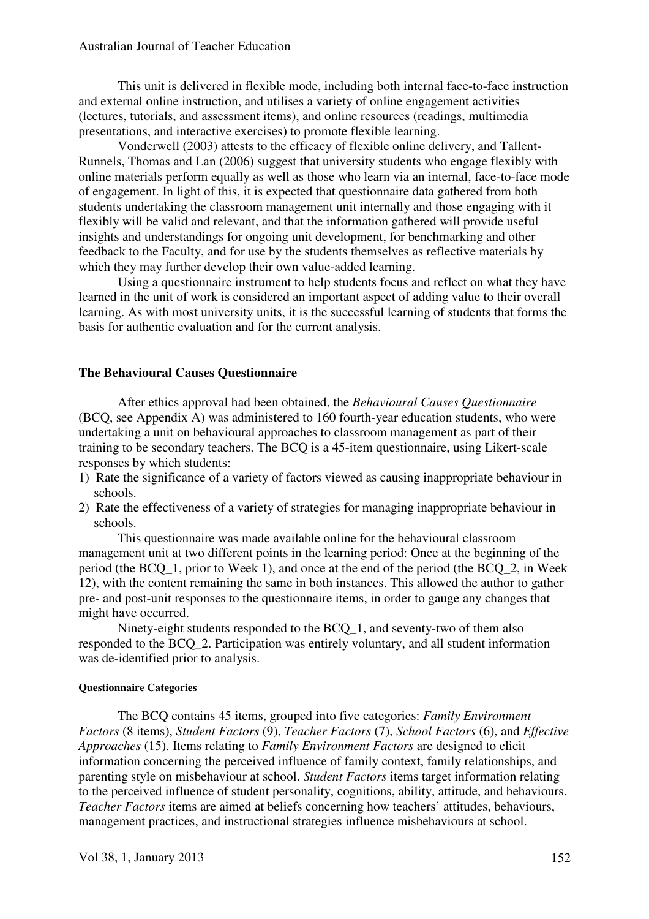This unit is delivered in flexible mode, including both internal face-to-face instruction and external online instruction, and utilises a variety of online engagement activities (lectures, tutorials, and assessment items), and online resources (readings, multimedia presentations, and interactive exercises) to promote flexible learning.

Vonderwell (2003) attests to the efficacy of flexible online delivery, and Tallent-Runnels, Thomas and Lan (2006) suggest that university students who engage flexibly with online materials perform equally as well as those who learn via an internal, face-to-face mode of engagement. In light of this, it is expected that questionnaire data gathered from both students undertaking the classroom management unit internally and those engaging with it flexibly will be valid and relevant, and that the information gathered will provide useful insights and understandings for ongoing unit development, for benchmarking and other feedback to the Faculty, and for use by the students themselves as reflective materials by which they may further develop their own value-added learning.

 Using a questionnaire instrument to help students focus and reflect on what they have learned in the unit of work is considered an important aspect of adding value to their overall learning. As with most university units, it is the successful learning of students that forms the basis for authentic evaluation and for the current analysis.

#### **The Behavioural Causes Questionnaire**

After ethics approval had been obtained, the *Behavioural Causes Questionnaire* (BCQ, see Appendix A) was administered to 160 fourth-year education students, who were undertaking a unit on behavioural approaches to classroom management as part of their training to be secondary teachers. The BCQ is a 45-item questionnaire, using Likert-scale responses by which students:

- 1) Rate the significance of a variety of factors viewed as causing inappropriate behaviour in schools.
- 2) Rate the effectiveness of a variety of strategies for managing inappropriate behaviour in schools.

This questionnaire was made available online for the behavioural classroom management unit at two different points in the learning period: Once at the beginning of the period (the BCQ\_1, prior to Week 1), and once at the end of the period (the BCQ\_2, in Week 12), with the content remaining the same in both instances. This allowed the author to gather pre- and post-unit responses to the questionnaire items, in order to gauge any changes that might have occurred.

Ninety-eight students responded to the BCO 1, and seventy-two of them also responded to the BCQ\_2. Participation was entirely voluntary, and all student information was de-identified prior to analysis.

#### **Questionnaire Categories**

The BCQ contains 45 items, grouped into five categories: *Family Environment Factors* (8 items), *Student Factors* (9), *Teacher Factors* (7), *School Factors* (6), and *Effective Approaches* (15). Items relating to *Family Environment Factors* are designed to elicit information concerning the perceived influence of family context, family relationships, and parenting style on misbehaviour at school. *Student Factors* items target information relating to the perceived influence of student personality, cognitions, ability, attitude, and behaviours. *Teacher Factors* items are aimed at beliefs concerning how teachers' attitudes, behaviours, management practices, and instructional strategies influence misbehaviours at school.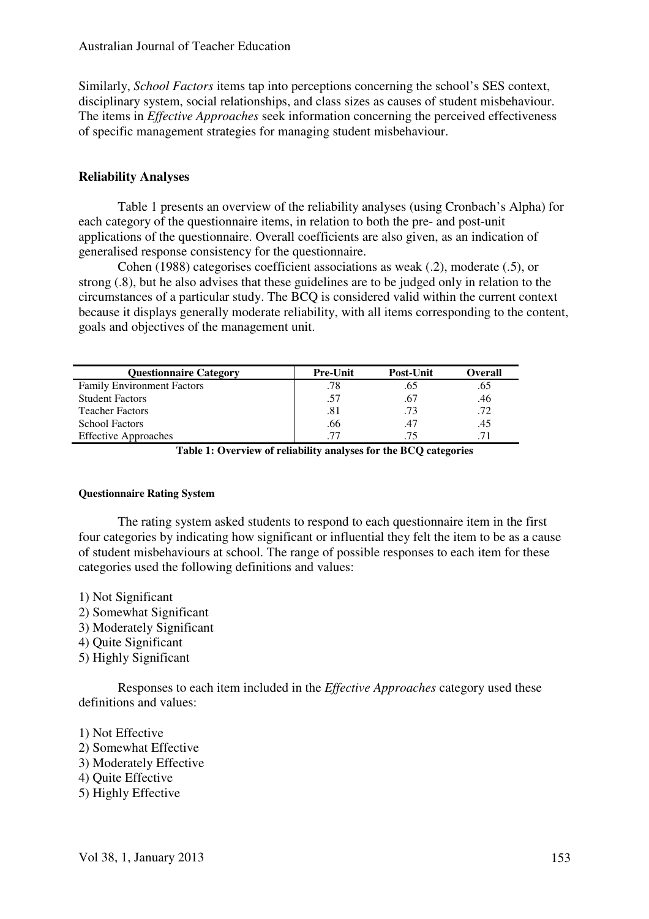Similarly, *School Factors* items tap into perceptions concerning the school's SES context, disciplinary system, social relationships, and class sizes as causes of student misbehaviour. The items in *Effective Approaches* seek information concerning the perceived effectiveness of specific management strategies for managing student misbehaviour.

#### **Reliability Analyses**

Table 1 presents an overview of the reliability analyses (using Cronbach's Alpha) for each category of the questionnaire items, in relation to both the pre- and post-unit applications of the questionnaire. Overall coefficients are also given, as an indication of generalised response consistency for the questionnaire.

Cohen (1988) categorises coefficient associations as weak (.2), moderate (.5), or strong (.8), but he also advises that these guidelines are to be judged only in relation to the circumstances of a particular study. The BCQ is considered valid within the current context because it displays generally moderate reliability, with all items corresponding to the content, goals and objectives of the management unit.

| <b>Ouestionnaire Category</b>     | <b>Pre-Unit</b> | <b>Post-Unit</b> | Overall |
|-----------------------------------|-----------------|------------------|---------|
| <b>Family Environment Factors</b> | .78             | .65              | .65     |
| <b>Student Factors</b>            | .57             | .67              | .46     |
| <b>Teacher Factors</b>            | .81             | .73              | .72     |
| <b>School Factors</b>             | .66             | .47              | 45      |
| <b>Effective Approaches</b>       | 77              | .75              |         |

**Table 1: Overview of reliability analyses for the BCQ categories** 

#### **Questionnaire Rating System**

The rating system asked students to respond to each questionnaire item in the first four categories by indicating how significant or influential they felt the item to be as a cause of student misbehaviours at school. The range of possible responses to each item for these categories used the following definitions and values:

- 1) Not Significant
- 2) Somewhat Significant
- 3) Moderately Significant
- 4) Quite Significant
- 5) Highly Significant

Responses to each item included in the *Effective Approaches* category used these definitions and values:

- 1) Not Effective
- 2) Somewhat Effective
- 3) Moderately Effective
- 4) Quite Effective
- 5) Highly Effective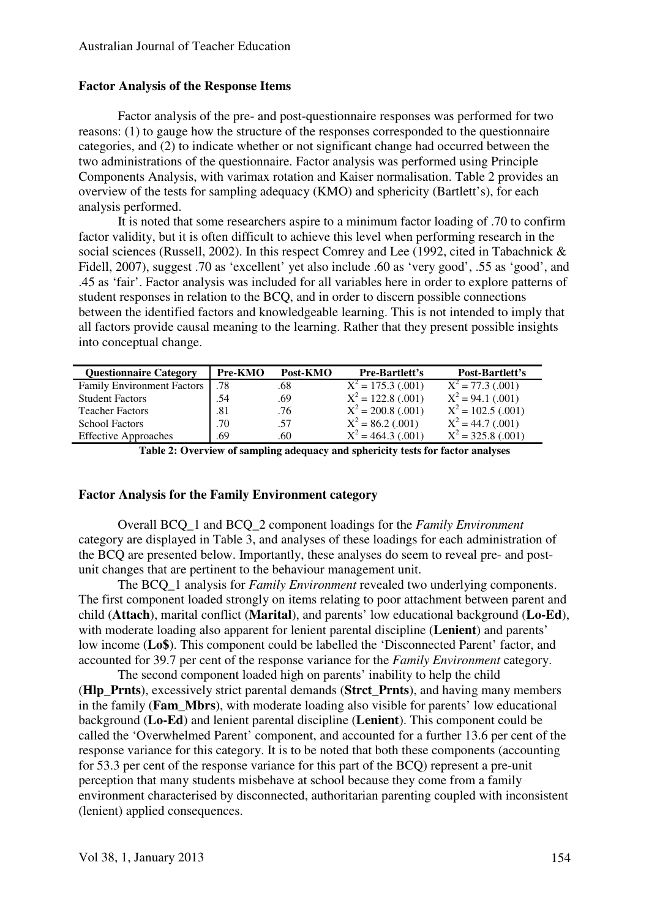# **Factor Analysis of the Response Items**

Factor analysis of the pre- and post-questionnaire responses was performed for two reasons: (1) to gauge how the structure of the responses corresponded to the questionnaire categories, and (2) to indicate whether or not significant change had occurred between the two administrations of the questionnaire. Factor analysis was performed using Principle Components Analysis, with varimax rotation and Kaiser normalisation. Table 2 provides an overview of the tests for sampling adequacy (KMO) and sphericity (Bartlett's), for each analysis performed.

It is noted that some researchers aspire to a minimum factor loading of .70 to confirm factor validity, but it is often difficult to achieve this level when performing research in the social sciences (Russell, 2002). In this respect Comrey and Lee (1992, cited in Tabachnick & Fidell, 2007), suggest .70 as 'excellent' yet also include .60 as 'very good', .55 as 'good', and .45 as 'fair'. Factor analysis was included for all variables here in order to explore patterns of student responses in relation to the BCQ, and in order to discern possible connections between the identified factors and knowledgeable learning. This is not intended to imply that all factors provide causal meaning to the learning. Rather that they present possible insights into conceptual change.

| <b>Questionnaire Category</b>     | Pre-KMO | Post-KMO | <b>Pre-Bartlett's</b> | Post-Bartlett's                |
|-----------------------------------|---------|----------|-----------------------|--------------------------------|
| <b>Family Environment Factors</b> | .78     | .68      | $X^2 = 175.3$ (.001)  | $\overline{X^2}$ = 77.3 (.001) |
| <b>Student Factors</b>            | .54     | .69      | $X^2 = 122.8$ (.001)  | $X^2 = 94.1$ (.001)            |
| <b>Teacher Factors</b>            | .81     | .76      | $X^2 = 200.8$ (.001)  | $X^2 = 102.5$ (.001)           |
| <b>School Factors</b>             | .70     | .57      | $X^2 = 86.2$ (.001)   | $X^2 = 44.7$ (.001)            |
| <b>Effective Approaches</b>       | .69     | .60      | $X^2 = 464.3$ (.001)  | $X^2 = 325.8$ (.001)           |

**Table 2: Overview of sampling adequacy and sphericity tests for factor analyses** 

#### **Factor Analysis for the Family Environment category**

Overall BCQ\_1 and BCQ\_2 component loadings for the *Family Environment* category are displayed in Table 3, and analyses of these loadings for each administration of the BCQ are presented below. Importantly, these analyses do seem to reveal pre- and postunit changes that are pertinent to the behaviour management unit.

The BCQ\_1 analysis for *Family Environment* revealed two underlying components. The first component loaded strongly on items relating to poor attachment between parent and child (**Attach**), marital conflict (**Marital**), and parents' low educational background (**Lo-Ed**), with moderate loading also apparent for lenient parental discipline (**Lenient**) and parents' low income (**Lo\$**). This component could be labelled the 'Disconnected Parent' factor, and accounted for 39.7 per cent of the response variance for the *Family Environment* category.

The second component loaded high on parents' inability to help the child (**Hlp\_Prnts**), excessively strict parental demands (**Strct\_Prnts**), and having many members in the family (**Fam\_Mbrs**), with moderate loading also visible for parents' low educational background (**Lo-Ed**) and lenient parental discipline (**Lenient**). This component could be called the 'Overwhelmed Parent' component, and accounted for a further 13.6 per cent of the response variance for this category. It is to be noted that both these components (accounting for 53.3 per cent of the response variance for this part of the BCQ) represent a pre-unit perception that many students misbehave at school because they come from a family environment characterised by disconnected, authoritarian parenting coupled with inconsistent (lenient) applied consequences.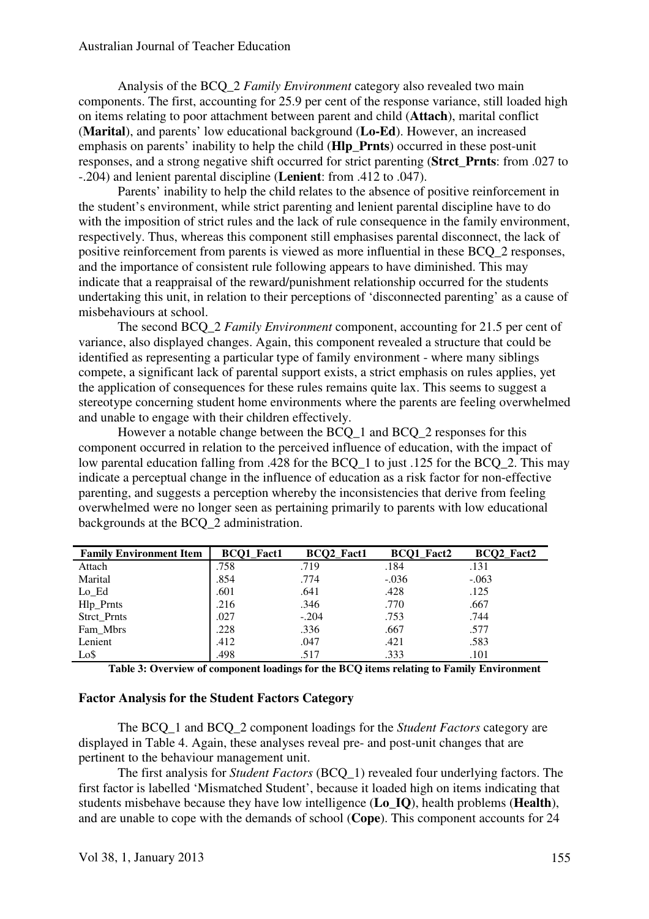Analysis of the BCQ\_2 *Family Environment* category also revealed two main components. The first, accounting for 25.9 per cent of the response variance, still loaded high on items relating to poor attachment between parent and child (**Attach**), marital conflict (**Marital**), and parents' low educational background (**Lo-Ed**). However, an increased emphasis on parents' inability to help the child (**Hlp\_Prnts**) occurred in these post-unit responses, and a strong negative shift occurred for strict parenting (**Strct\_Prnts**: from .027 to -.204) and lenient parental discipline (**Lenient**: from .412 to .047).

Parents' inability to help the child relates to the absence of positive reinforcement in the student's environment, while strict parenting and lenient parental discipline have to do with the imposition of strict rules and the lack of rule consequence in the family environment, respectively. Thus, whereas this component still emphasises parental disconnect, the lack of positive reinforcement from parents is viewed as more influential in these BCQ\_2 responses, and the importance of consistent rule following appears to have diminished. This may indicate that a reappraisal of the reward/punishment relationship occurred for the students undertaking this unit, in relation to their perceptions of 'disconnected parenting' as a cause of misbehaviours at school.

The second BCQ\_2 *Family Environment* component, accounting for 21.5 per cent of variance, also displayed changes. Again, this component revealed a structure that could be identified as representing a particular type of family environment - where many siblings compete, a significant lack of parental support exists, a strict emphasis on rules applies, yet the application of consequences for these rules remains quite lax. This seems to suggest a stereotype concerning student home environments where the parents are feeling overwhelmed and unable to engage with their children effectively.

However a notable change between the BCQ\_1 and BCQ\_2 responses for this component occurred in relation to the perceived influence of education, with the impact of low parental education falling from .428 for the BCQ\_1 to just .125 for the BCQ\_2. This may indicate a perceptual change in the influence of education as a risk factor for non-effective parenting, and suggests a perception whereby the inconsistencies that derive from feeling overwhelmed were no longer seen as pertaining primarily to parents with low educational backgrounds at the BCQ\_2 administration.

| <b>Family Environment Item</b> | <b>BCQ1</b> Fact1 | BCQ2_Fact1 | <b>BCO1</b> Fact2 | BCQ2_Fact2 |
|--------------------------------|-------------------|------------|-------------------|------------|
| Attach                         | .758              | .719       | .184              | .131       |
| Marital                        | .854              | .774       | $-.036$           | $-.063$    |
| Lo Ed                          | .601              | .641       | .428              | .125       |
| Hlp_Prnts                      | .216              | .346       | .770              | .667       |
| Strct_Prnts                    | .027              | $-.204$    | .753              | .744       |
| Fam_Mbrs                       | .228              | .336       | .667              | .577       |
| Lenient                        | .412              | .047       | .421              | .583       |
| Lo\$                           | .498              | .517       | .333              | .101       |

**Table 3: Overview of component loadings for the BCQ items relating to Family Environment** 

#### **Factor Analysis for the Student Factors Category**

The BCQ\_1 and BCQ\_2 component loadings for the *Student Factors* category are displayed in Table 4. Again, these analyses reveal pre- and post-unit changes that are pertinent to the behaviour management unit.

The first analysis for *Student Factors* (BCQ\_1) revealed four underlying factors. The first factor is labelled 'Mismatched Student', because it loaded high on items indicating that students misbehave because they have low intelligence (**Lo\_IQ**), health problems (**Health**), and are unable to cope with the demands of school (**Cope**). This component accounts for 24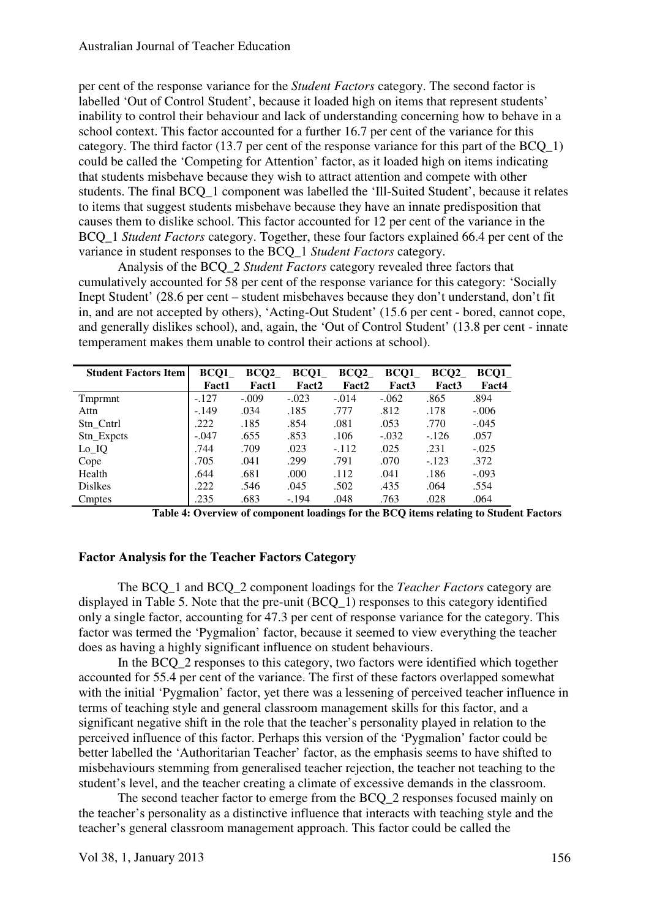per cent of the response variance for the *Student Factors* category. The second factor is labelled 'Out of Control Student', because it loaded high on items that represent students' inability to control their behaviour and lack of understanding concerning how to behave in a school context. This factor accounted for a further 16.7 per cent of the variance for this category. The third factor (13.7 per cent of the response variance for this part of the BCQ\_1) could be called the 'Competing for Attention' factor, as it loaded high on items indicating that students misbehave because they wish to attract attention and compete with other students. The final BCQ\_1 component was labelled the 'Ill-Suited Student', because it relates to items that suggest students misbehave because they have an innate predisposition that causes them to dislike school. This factor accounted for 12 per cent of the variance in the BCQ\_1 *Student Factors* category. Together, these four factors explained 66.4 per cent of the variance in student responses to the BCQ\_1 *Student Factors* category.

Analysis of the BCQ\_2 *Student Factors* category revealed three factors that cumulatively accounted for 58 per cent of the response variance for this category: 'Socially Inept Student' (28.6 per cent – student misbehaves because they don't understand, don't fit in, and are not accepted by others), 'Acting-Out Student' (15.6 per cent - bored, cannot cope, and generally dislikes school), and, again, the 'Out of Control Student' (13.8 per cent - innate temperament makes them unable to control their actions at school).

| <b>Student Factors Item</b> | BCQ1         | BCQ2         | BCQ1    | BCQ2    | BCQ1              | BCQ2              | BCQ1    |
|-----------------------------|--------------|--------------|---------|---------|-------------------|-------------------|---------|
|                             | <b>Fact1</b> | <b>Fact1</b> | Fact2   | Fact2   | Fact <sub>3</sub> | Fact <sub>3</sub> | Fact4   |
| Tmprmnt                     | $-.127$      | $-.009$      | $-.023$ | $-.014$ | $-.062$           | .865              | .894    |
| Attn                        | $-.149$      | .034         | .185    | .777    | .812              | .178              | $-.006$ |
| Stn Cntrl                   | .222         | .185         | .854    | .081    | .053              | .770              | $-.045$ |
| Stn_Expcts                  | $-.047$      | .655         | .853    | .106    | $-.032$           | $-.126$           | .057    |
| $Lo$ <sub>IQ</sub>          | .744         | .709         | .023    | $-.112$ | .025              | .231              | $-.025$ |
| Cope                        | .705         | .041         | .299    | .791    | .070              | $-.123$           | .372    |
| Health                      | .644         | .681         | .000    | .112    | .041              | .186              | $-.093$ |
| <b>Dislkes</b>              | .222         | .546         | .045    | .502    | .435              | .064              | .554    |
| Cmptes                      | .235         | .683         | $-.194$ | .048    | .763              | .028              | .064    |

**Table 4: Overview of component loadings for the BCQ items relating to Student Factors**

#### **Factor Analysis for the Teacher Factors Category**

The BCQ\_1 and BCQ\_2 component loadings for the *Teacher Factors* category are displayed in Table 5. Note that the pre-unit (BCQ\_1) responses to this category identified only a single factor, accounting for 47.3 per cent of response variance for the category. This factor was termed the 'Pygmalion' factor, because it seemed to view everything the teacher does as having a highly significant influence on student behaviours.

In the BCQ\_2 responses to this category, two factors were identified which together accounted for 55.4 per cent of the variance. The first of these factors overlapped somewhat with the initial 'Pygmalion' factor, yet there was a lessening of perceived teacher influence in terms of teaching style and general classroom management skills for this factor, and a significant negative shift in the role that the teacher's personality played in relation to the perceived influence of this factor. Perhaps this version of the 'Pygmalion' factor could be better labelled the 'Authoritarian Teacher' factor, as the emphasis seems to have shifted to misbehaviours stemming from generalised teacher rejection, the teacher not teaching to the student's level, and the teacher creating a climate of excessive demands in the classroom.

The second teacher factor to emerge from the BCQ 2 responses focused mainly on the teacher's personality as a distinctive influence that interacts with teaching style and the teacher's general classroom management approach. This factor could be called the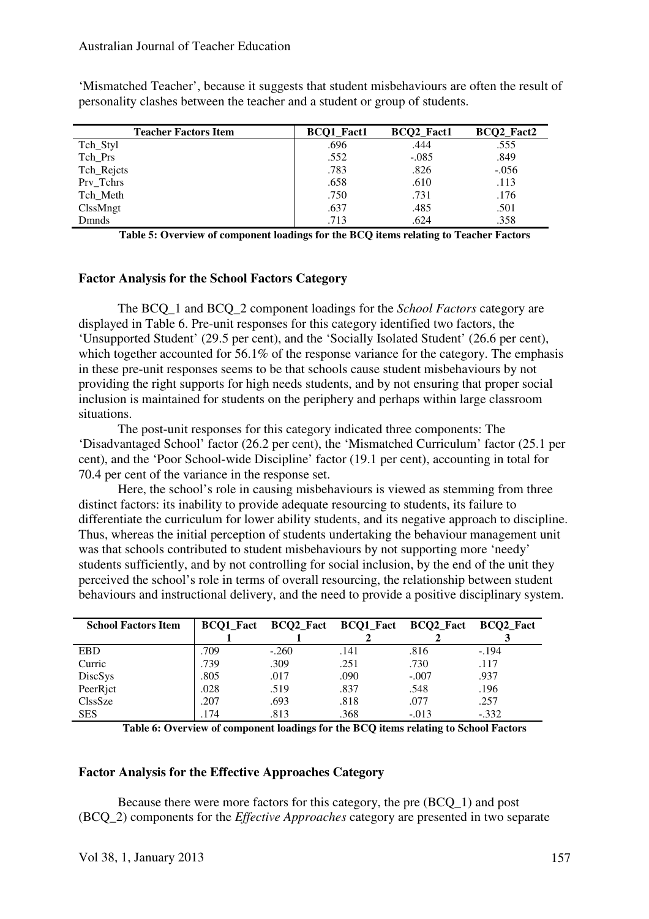'Mismatched Teacher', because it suggests that student misbehaviours are often the result of personality clashes between the teacher and a student or group of students.

| <b>Teacher Factors Item</b> | <b>BCQ1_Fact1</b> | BCQ2_Fact1 | BCQ2_Fact2 |
|-----------------------------|-------------------|------------|------------|
| Tch_Styl                    | .696              | .444       | .555       |
| Tch_Prs                     | .552              | $-.085$    | .849       |
| Tch_Rejcts                  | .783              | .826       | $-.056$    |
| Prv_Tchrs                   | .658              | .610       | .113       |
| Tch Meth                    | .750              | .731       | .176       |
| ClssMngt                    | .637              | .485       | .501       |
| <b>D</b> mnds               | .713              | .624       | .358       |

**Table 5: Overview of component loadings for the BCQ items relating to Teacher Factors**

# **Factor Analysis for the School Factors Category**

The BCQ\_1 and BCQ\_2 component loadings for the *School Factors* category are displayed in Table 6. Pre-unit responses for this category identified two factors, the 'Unsupported Student' (29.5 per cent), and the 'Socially Isolated Student' (26.6 per cent), which together accounted for 56.1% of the response variance for the category. The emphasis in these pre-unit responses seems to be that schools cause student misbehaviours by not providing the right supports for high needs students, and by not ensuring that proper social inclusion is maintained for students on the periphery and perhaps within large classroom situations.

The post-unit responses for this category indicated three components: The 'Disadvantaged School' factor (26.2 per cent), the 'Mismatched Curriculum' factor (25.1 per cent), and the 'Poor School-wide Discipline' factor (19.1 per cent), accounting in total for 70.4 per cent of the variance in the response set.

Here, the school's role in causing misbehaviours is viewed as stemming from three distinct factors: its inability to provide adequate resourcing to students, its failure to differentiate the curriculum for lower ability students, and its negative approach to discipline. Thus, whereas the initial perception of students undertaking the behaviour management unit was that schools contributed to student misbehaviours by not supporting more 'needy' students sufficiently, and by not controlling for social inclusion, by the end of the unit they perceived the school's role in terms of overall resourcing, the relationship between student behaviours and instructional delivery, and the need to provide a positive disciplinary system.

| <b>School Factors Item</b> |      | BCQ1_Fact BCQ2_Fact BCQ1_Fact BCQ2_Fact BCQ2_Fact |      |         |         |
|----------------------------|------|---------------------------------------------------|------|---------|---------|
|                            |      |                                                   |      |         |         |
| <b>EBD</b>                 | .709 | $-.260$                                           | .141 | .816    | $-194$  |
| Curric                     | .739 | .309                                              | .251 | .730    | .117    |
| DiscSys                    | .805 | .017                                              | .090 | $-.007$ | .937    |
| PeerRict                   | .028 | .519                                              | .837 | .548    | .196    |
| ClssSze                    | .207 | .693                                              | .818 | .077    | .257    |
| <b>SES</b>                 | .174 | .813                                              | .368 | $-.013$ | $-.332$ |

**Table 6: Overview of component loadings for the BCQ items relating to School Factors**

#### **Factor Analysis for the Effective Approaches Category**

Because there were more factors for this category, the pre (BCQ\_1) and post (BCQ\_2) components for the *Effective Approaches* category are presented in two separate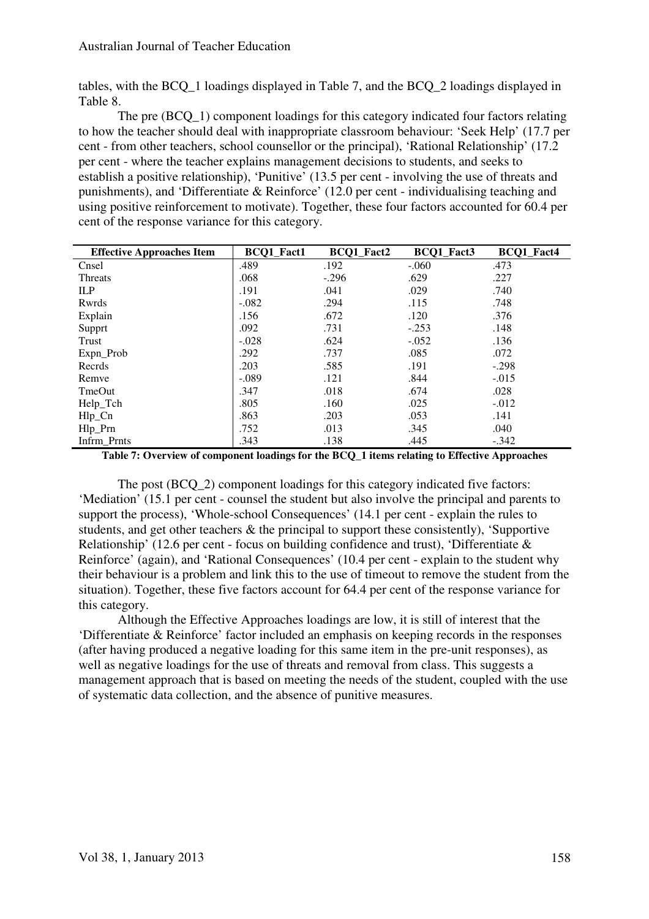tables, with the BCQ\_1 loadings displayed in Table 7, and the BCQ\_2 loadings displayed in Table 8.

The pre (BCQ\_1) component loadings for this category indicated four factors relating to how the teacher should deal with inappropriate classroom behaviour: 'Seek Help' (17.7 per cent - from other teachers, school counsellor or the principal), 'Rational Relationship' (17.2 per cent - where the teacher explains management decisions to students, and seeks to establish a positive relationship), 'Punitive' (13.5 per cent - involving the use of threats and punishments), and 'Differentiate & Reinforce' (12.0 per cent - individualising teaching and using positive reinforcement to motivate). Together, these four factors accounted for 60.4 per cent of the response variance for this category.

| <b>Effective Approaches Item</b> | BCQ1_Fact1 | <b>BCQ1_Fact2</b> | BCQ1_Fact3 | BCQ1_Fact4 |
|----------------------------------|------------|-------------------|------------|------------|
| Cnsel                            | .489       | .192              | $-.060$    | .473       |
| Threats                          | .068       | $-.296$           | .629       | .227       |
| <b>ILP</b>                       | .191       | .041              | .029       | .740       |
| Rwrds                            | $-.082$    | .294              | .115       | .748       |
| Explain                          | .156       | .672              | .120       | .376       |
| Supprt                           | .092       | .731              | $-.253$    | .148       |
| Trust                            | $-.028$    | .624              | $-.052$    | .136       |
| Expn_Prob                        | .292       | .737              | .085       | .072       |
| Recrds                           | .203       | .585              | .191       | $-.298$    |
| Remve                            | $-.089$    | .121              | .844       | $-.015$    |
| TmeOut                           | .347       | .018              | .674       | .028       |
| Help_Tch                         | .805       | .160              | .025       | $-.012$    |
| $Hlp_Cn$                         | .863       | .203              | .053       | .141       |
| $Hlp_Prn$                        | .752       | .013              | .345       | .040       |
| Infrm_Prnts                      | .343       | .138              | .445       | $-.342$    |

**Table 7: Overview of component loadings for the BCQ\_1 items relating to Effective Approaches**

The post (BCQ\_2) component loadings for this category indicated five factors: 'Mediation' (15.1 per cent - counsel the student but also involve the principal and parents to support the process), 'Whole-school Consequences' (14.1 per cent - explain the rules to students, and get other teachers & the principal to support these consistently), 'Supportive Relationship' (12.6 per cent - focus on building confidence and trust), 'Differentiate & Reinforce' (again), and 'Rational Consequences' (10.4 per cent - explain to the student why their behaviour is a problem and link this to the use of timeout to remove the student from the situation). Together, these five factors account for 64.4 per cent of the response variance for this category.

Although the Effective Approaches loadings are low, it is still of interest that the 'Differentiate & Reinforce' factor included an emphasis on keeping records in the responses (after having produced a negative loading for this same item in the pre-unit responses), as well as negative loadings for the use of threats and removal from class. This suggests a management approach that is based on meeting the needs of the student, coupled with the use of systematic data collection, and the absence of punitive measures.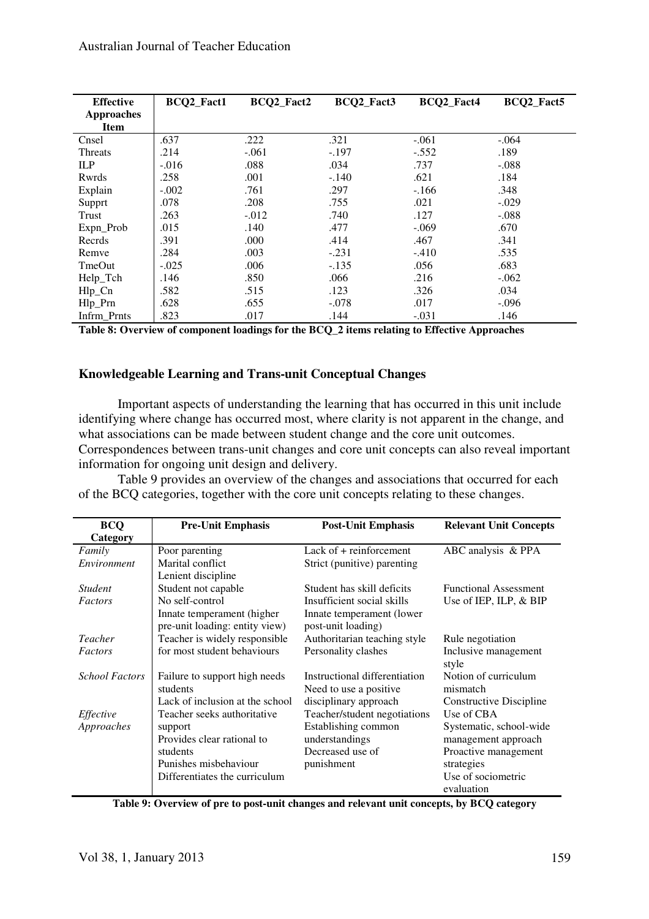| <b>Effective</b> | <b>BCO2 Fact1</b> | BCQ2_Fact2 | BCQ2 Fact3 | BCQ2_Fact4 | BCQ2_Fact5 |
|------------------|-------------------|------------|------------|------------|------------|
| Approaches       |                   |            |            |            |            |
| <b>Item</b>      |                   |            |            |            |            |
| Cnsel            | .637              | .222       | .321       | $-.061$    | $-.064$    |
| <b>Threats</b>   | .214              | $-.061$    | $-.197$    | $-.552$    | .189       |
| ILP              | $-.016$           | .088       | .034       | .737       | $-.088$    |
| Rwrds            | .258              | .001       | $-.140$    | .621       | .184       |
| Explain          | $-.002$           | .761       | .297       | $-.166$    | .348       |
| Supprt           | .078              | .208       | .755       | .021       | $-.029$    |
| Trust            | .263              | $-.012$    | .740       | .127       | $-.088$    |
| Expn_Prob        | .015              | .140       | .477       | $-.069$    | .670       |
| Recrds           | .391              | .000       | .414       | .467       | .341       |
| Remve            | .284              | .003       | $-.231$    | $-.410$    | .535       |
| TmeOut           | $-.025$           | .006       | $-.135$    | .056       | .683       |
| Help_Tch         | .146              | .850       | .066       | .216       | $-.062$    |
| $Hlp_Cn$         | .582              | .515       | .123       | .326       | .034       |
| Hlp_Prn          | .628              | .655       | $-.078$    | .017       | $-.096$    |
| Infrm_Prnts      | .823              | .017       | .144       | $-.031$    | .146       |

**Table 8: Overview of component loadings for the BCQ\_2 items relating to Effective Approaches**

#### **Knowledgeable Learning and Trans-unit Conceptual Changes**

Important aspects of understanding the learning that has occurred in this unit include identifying where change has occurred most, where clarity is not apparent in the change, and what associations can be made between student change and the core unit outcomes. Correspondences between trans-unit changes and core unit concepts can also reveal important information for ongoing unit design and delivery.

Table 9 provides an overview of the changes and associations that occurred for each of the BCQ categories, together with the core unit concepts relating to these changes.

| <b>BCQ</b>            | <b>Pre-Unit Emphasis</b>        | <b>Post-Unit Emphasis</b>     | <b>Relevant Unit Concepts</b> |
|-----------------------|---------------------------------|-------------------------------|-------------------------------|
| Category              |                                 |                               |                               |
| Family                | Poor parenting                  | Lack of $+$ reinforcement     | ABC analysis & PPA            |
| Environment           | Marital conflict                | Strict (punitive) parenting   |                               |
|                       | Lenient discipline              |                               |                               |
| <i>Student</i>        | Student not capable             | Student has skill deficits    | <b>Functional Assessment</b>  |
| Factors               | No self-control                 | Insufficient social skills    | Use of IEP, ILP, & BIP        |
|                       | Innate temperament (higher      | Innate temperament (lower)    |                               |
|                       | pre-unit loading: entity view)  | post-unit loading)            |                               |
| Teacher               | Teacher is widely responsible   | Authoritarian teaching style  | Rule negotiation              |
| Factors               | for most student behaviours     | Personality clashes           | Inclusive management          |
|                       |                                 |                               | style                         |
| <b>School Factors</b> | Failure to support high needs   | Instructional differentiation | Notion of curriculum          |
|                       | students                        | Need to use a positive.       | mismatch                      |
|                       | Lack of inclusion at the school | disciplinary approach         | Constructive Discipline       |
| Effective             | Teacher seeks authoritative     | Teacher/student negotiations  | Use of CBA                    |
| Approaches            | support                         | Establishing common           | Systematic, school-wide       |
|                       | Provides clear rational to      | understandings                | management approach           |
|                       | students                        | Decreased use of              | Proactive management          |
|                       | Punishes misbehaviour           | punishment                    | strategies                    |
|                       | Differentiates the curriculum   |                               | Use of sociometric            |
|                       |                                 |                               | evaluation                    |

**Table 9: Overview of pre to post-unit changes and relevant unit concepts, by BCQ category**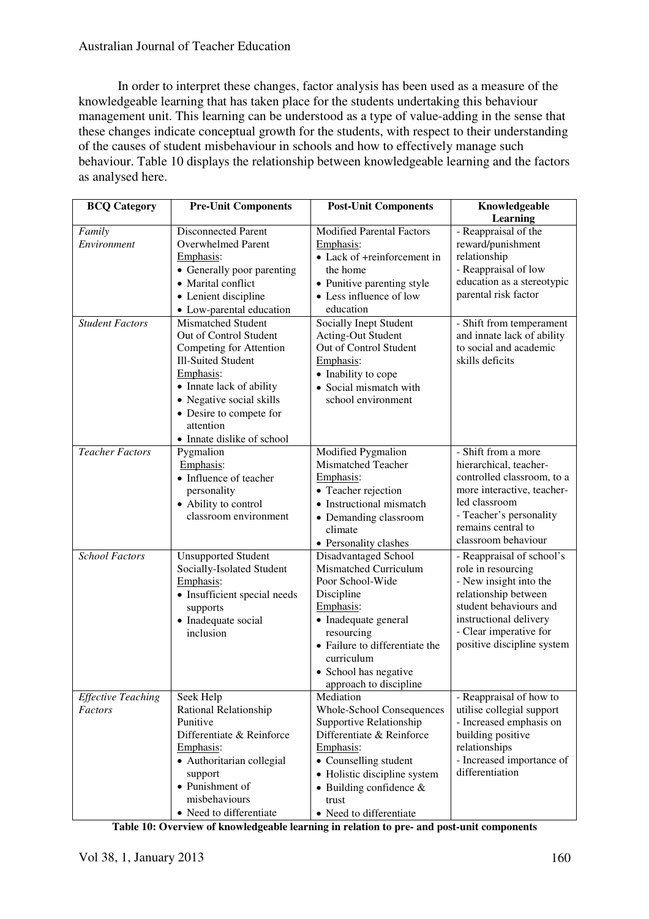# Australian Journal of Teacher Education

In order to interpret these changes, factor analysis has been used as a measure of the knowledgeable learning that has taken place for the students undertaking this behaviour management unit. This learning can be understood as a type of value-adding in the sense that these changes indicate conceptual growth for the students, with respect to their understanding of the causes of student misbehaviour in schools and how to effectively manage such behaviour. Table 10 displays the relationship between knowledgeable learning and the factors as analysed here.

| <b>BCQ Category</b>       | <b>Pre-Unit Components</b>   | <b>Post-Unit Components</b>                  | Knowledgeable              |
|---------------------------|------------------------------|----------------------------------------------|----------------------------|
|                           |                              |                                              | Learning                   |
| Family                    | <b>Disconnected Parent</b>   | <b>Modified Parental Factors</b>             | - Reappraisal of the       |
| Environment               | Overwhelmed Parent           | Emphasis:                                    | reward/punishment          |
|                           | Emphasis:                    | • Lack of +reinforcement in                  | relationship               |
|                           | • Generally poor parenting   | the home                                     | - Reappraisal of low       |
|                           | • Marital conflict           | • Punitive parenting style                   | education as a stereotypic |
|                           | • Lenient discipline         | • Less influence of low                      | parental risk factor       |
|                           | • Low-parental education     | education                                    |                            |
| <b>Student Factors</b>    | <b>Mismatched Student</b>    | Socially Inept Student                       | - Shift from temperament   |
|                           | Out of Control Student       | <b>Acting-Out Student</b>                    | and innate lack of ability |
|                           | Competing for Attention      | Out of Control Student                       | to social and academic     |
|                           | <b>Ill-Suited Student</b>    | Emphasis:                                    | skills deficits            |
|                           | Emphasis:                    | • Inability to cope                          |                            |
|                           | • Innate lack of ability     | • Social mismatch with                       |                            |
|                           | • Negative social skills     | school environment                           |                            |
|                           | • Desire to compete for      |                                              |                            |
|                           | attention                    |                                              |                            |
|                           | • Innate dislike of school   |                                              |                            |
| <b>Teacher Factors</b>    | Pygmalion                    | Modified Pygmalion                           | - Shift from a more        |
|                           | Emphasis:                    | Mismatched Teacher                           | hierarchical, teacher-     |
|                           | • Influence of teacher       | Emphasis:                                    | controlled classroom, to a |
|                           | personality                  | • Teacher rejection                          | more interactive, teacher- |
|                           | • Ability to control         | • Instructional mismatch                     | led classroom              |
|                           | classroom environment        | • Demanding classroom                        | - Teacher's personality    |
|                           |                              | climate                                      | remains central to         |
|                           |                              | • Personality clashes                        | classroom behaviour        |
| <b>School Factors</b>     | <b>Unsupported Student</b>   | Disadvantaged School                         | - Reappraisal of school's  |
|                           | Socially-Isolated Student    | Mismatched Curriculum                        | role in resourcing         |
|                           | Emphasis:                    | Poor School-Wide                             | - New insight into the     |
|                           | • Insufficient special needs | Discipline                                   | relationship between       |
|                           | supports                     | Emphasis:                                    | student behaviours and     |
|                           | • Inadequate social          | • Inadequate general                         | instructional delivery     |
|                           | inclusion                    | resourcing                                   | - Clear imperative for     |
|                           |                              | • Failure to differentiate the<br>curriculum | positive discipline system |
|                           |                              | • School has negative                        |                            |
|                           |                              | approach to discipline                       |                            |
| <b>Effective Teaching</b> | Seek Help                    | Mediation                                    | - Reappraisal of how to    |
| Factors                   | Rational Relationship        | <b>Whole-School Consequences</b>             | utilise collegial support  |
|                           | Punitive                     | Supportive Relationship                      | - Increased emphasis on    |
|                           | Differentiate & Reinforce    | Differentiate & Reinforce                    | building positive          |
|                           | Emphasis:                    | Emphasis:                                    | relationships              |
|                           | • Authoritarian collegial    | • Counselling student                        | - Increased importance of  |
|                           | support                      | • Holistic discipline system                 | differentiation            |
|                           | • Punishment of              | $\bullet$ Building confidence &              |                            |
|                           | misbehaviours                | trust                                        |                            |
|                           | • Need to differentiate      | • Need to differentiate                      |                            |

**Table 10: Overview of knowledgeable learning in relation to pre- and post-unit components**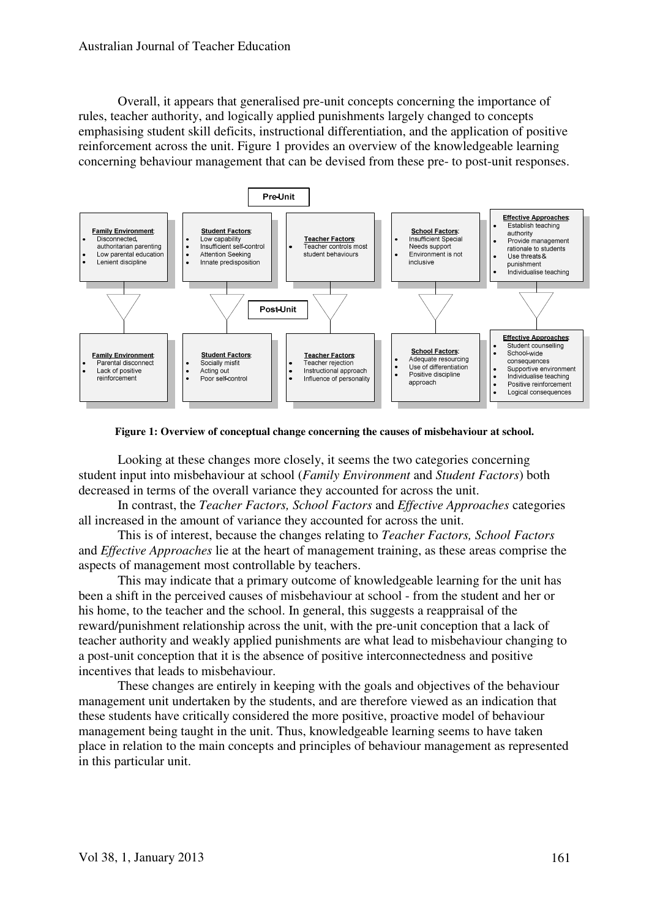Overall, it appears that generalised pre-unit concepts concerning the importance of rules, teacher authority, and logically applied punishments largely changed to concepts emphasising student skill deficits, instructional differentiation, and the application of positive reinforcement across the unit. Figure 1 provides an overview of the knowledgeable learning concerning behaviour management that can be devised from these pre- to post-unit responses.



**Figure 1: Overview of conceptual change concerning the causes of misbehaviour at school.** 

Looking at these changes more closely, it seems the two categories concerning student input into misbehaviour at school (*Family Environment* and *Student Factors*) both decreased in terms of the overall variance they accounted for across the unit.

In contrast, the *Teacher Factors, School Factors* and *Effective Approaches* categories all increased in the amount of variance they accounted for across the unit.

This is of interest, because the changes relating to *Teacher Factors, School Factors* and *Effective Approaches* lie at the heart of management training, as these areas comprise the aspects of management most controllable by teachers.

This may indicate that a primary outcome of knowledgeable learning for the unit has been a shift in the perceived causes of misbehaviour at school - from the student and her or his home, to the teacher and the school. In general, this suggests a reappraisal of the reward/punishment relationship across the unit, with the pre-unit conception that a lack of teacher authority and weakly applied punishments are what lead to misbehaviour changing to a post-unit conception that it is the absence of positive interconnectedness and positive incentives that leads to misbehaviour.

These changes are entirely in keeping with the goals and objectives of the behaviour management unit undertaken by the students, and are therefore viewed as an indication that these students have critically considered the more positive, proactive model of behaviour management being taught in the unit. Thus, knowledgeable learning seems to have taken place in relation to the main concepts and principles of behaviour management as represented in this particular unit.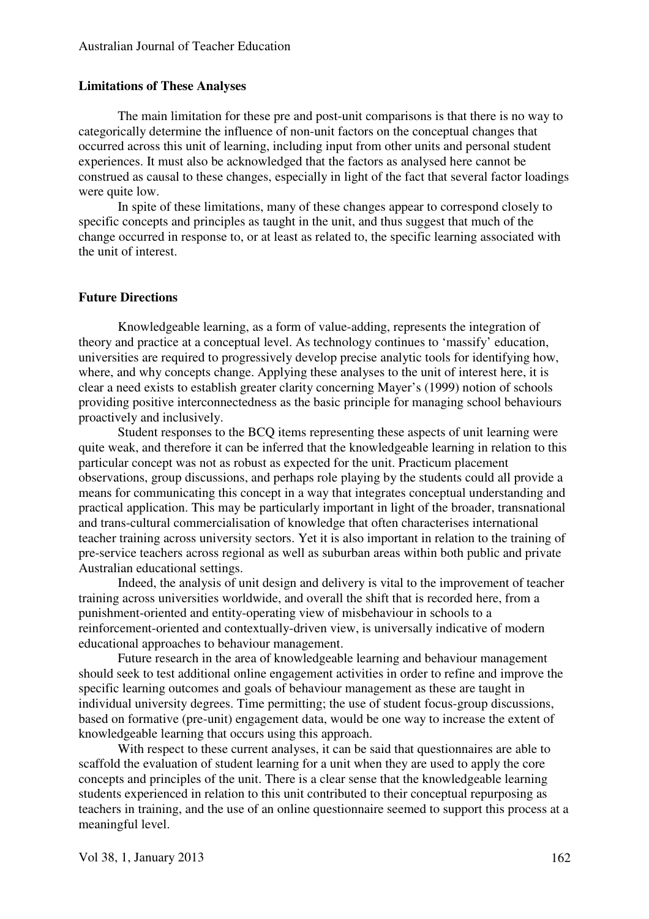#### **Limitations of These Analyses**

The main limitation for these pre and post-unit comparisons is that there is no way to categorically determine the influence of non-unit factors on the conceptual changes that occurred across this unit of learning, including input from other units and personal student experiences. It must also be acknowledged that the factors as analysed here cannot be construed as causal to these changes, especially in light of the fact that several factor loadings were quite low.

In spite of these limitations, many of these changes appear to correspond closely to specific concepts and principles as taught in the unit, and thus suggest that much of the change occurred in response to, or at least as related to, the specific learning associated with the unit of interest.

#### **Future Directions**

Knowledgeable learning, as a form of value-adding, represents the integration of theory and practice at a conceptual level. As technology continues to 'massify' education, universities are required to progressively develop precise analytic tools for identifying how, where, and why concepts change. Applying these analyses to the unit of interest here, it is clear a need exists to establish greater clarity concerning Mayer's (1999) notion of schools providing positive interconnectedness as the basic principle for managing school behaviours proactively and inclusively.

Student responses to the BCQ items representing these aspects of unit learning were quite weak, and therefore it can be inferred that the knowledgeable learning in relation to this particular concept was not as robust as expected for the unit. Practicum placement observations, group discussions, and perhaps role playing by the students could all provide a means for communicating this concept in a way that integrates conceptual understanding and practical application. This may be particularly important in light of the broader, transnational and trans-cultural commercialisation of knowledge that often characterises international teacher training across university sectors. Yet it is also important in relation to the training of pre-service teachers across regional as well as suburban areas within both public and private Australian educational settings.

Indeed, the analysis of unit design and delivery is vital to the improvement of teacher training across universities worldwide, and overall the shift that is recorded here, from a punishment-oriented and entity-operating view of misbehaviour in schools to a reinforcement-oriented and contextually-driven view, is universally indicative of modern educational approaches to behaviour management.

Future research in the area of knowledgeable learning and behaviour management should seek to test additional online engagement activities in order to refine and improve the specific learning outcomes and goals of behaviour management as these are taught in individual university degrees. Time permitting; the use of student focus-group discussions, based on formative (pre-unit) engagement data, would be one way to increase the extent of knowledgeable learning that occurs using this approach.

With respect to these current analyses, it can be said that questionnaires are able to scaffold the evaluation of student learning for a unit when they are used to apply the core concepts and principles of the unit. There is a clear sense that the knowledgeable learning students experienced in relation to this unit contributed to their conceptual repurposing as teachers in training, and the use of an online questionnaire seemed to support this process at a meaningful level.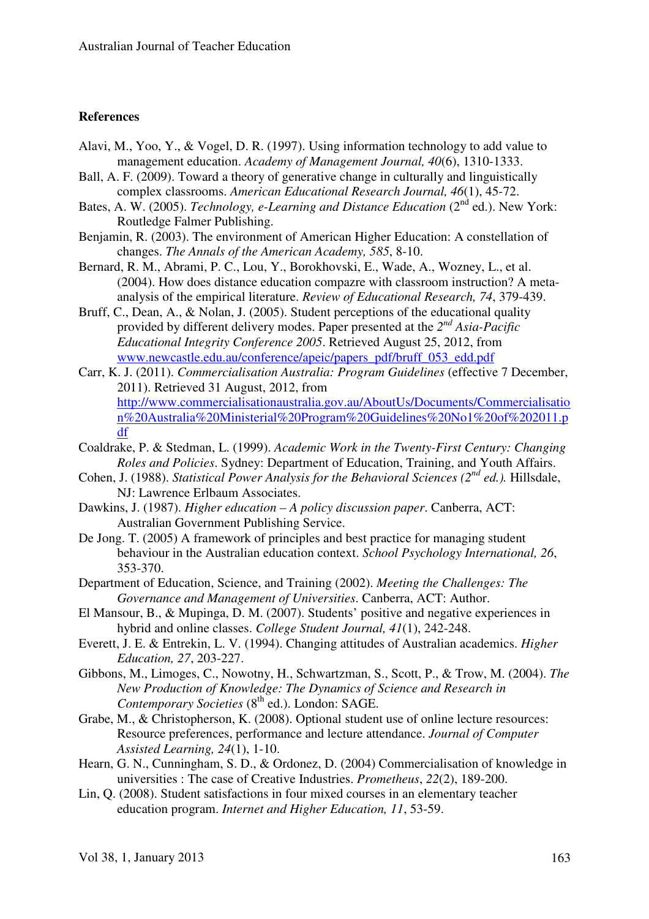#### **References**

- Alavi, M., Yoo, Y., & Vogel, D. R. (1997). Using information technology to add value to management education. *Academy of Management Journal, 40*(6), 1310-1333.
- Ball, A. F. (2009). Toward a theory of generative change in culturally and linguistically complex classrooms. *American Educational Research Journal, 46*(1), 45-72.
- Bates, A. W. (2005). *Technology, e-Learning and Distance Education* (2<sup>nd</sup> ed.). New York: Routledge Falmer Publishing.
- Benjamin, R. (2003). The environment of American Higher Education: A constellation of changes. *The Annals of the American Academy, 585*, 8-10.
- Bernard, R. M., Abrami, P. C., Lou, Y., Borokhovski, E., Wade, A., Wozney, L., et al. (2004). How does distance education compazre with classroom instruction? A metaanalysis of the empirical literature. *Review of Educational Research, 74*, 379-439.
- Bruff, C., Dean, A., & Nolan, J. (2005). Student perceptions of the educational quality provided by different delivery modes. Paper presented at the *2 nd Asia-Pacific Educational Integrity Conference 2005*. Retrieved August 25, 2012, from www.newcastle.edu.au/conference/apeic/papers\_pdf/bruff\_053\_edd.pdf
- Carr, K. J. (2011). *Commercialisation Australia: Program Guidelines* (effective 7 December, 2011). Retrieved 31 August, 2012, from http://www.commercialisationaustralia.gov.au/AboutUs/Documents/Commercialisatio n%20Australia%20Ministerial%20Program%20Guidelines%20No1%20of%202011.p df
- Coaldrake, P. & Stedman, L. (1999). *Academic Work in the Twenty-First Century: Changing Roles and Policies*. Sydney: Department of Education, Training, and Youth Affairs.
- Cohen, J. (1988). *Statistical Power Analysis for the Behavioral Sciences (2nd ed.).* Hillsdale, NJ: Lawrence Erlbaum Associates.
- Dawkins, J. (1987). *Higher education A policy discussion paper*. Canberra, ACT: Australian Government Publishing Service.
- De Jong. T. (2005) A framework of principles and best practice for managing student behaviour in the Australian education context. *School Psychology International, 26*, 353-370.
- Department of Education, Science, and Training (2002). *Meeting the Challenges: The Governance and Management of Universities*. Canberra, ACT: Author.
- El Mansour, B., & Mupinga, D. M. (2007). Students' positive and negative experiences in hybrid and online classes. *College Student Journal, 41*(1), 242-248.
- Everett, J. E. & Entrekin, L. V. (1994). Changing attitudes of Australian academics. *Higher Education, 27*, 203-227.
- Gibbons, M., Limoges, C., Nowotny, H., Schwartzman, S., Scott, P., & Trow, M. (2004). *The New Production of Knowledge: The Dynamics of Science and Research in Contemporary Societies* (8<sup>th</sup> ed.). London: SAGE.
- Grabe, M., & Christopherson, K. (2008). Optional student use of online lecture resources: Resource preferences, performance and lecture attendance. *Journal of Computer Assisted Learning, 24*(1), 1-10.
- Hearn, G. N., Cunningham, S. D., & Ordonez, D. (2004) Commercialisation of knowledge in universities : The case of Creative Industries. *Prometheus*, *22*(2), 189-200.
- Lin, Q. (2008). Student satisfactions in four mixed courses in an elementary teacher education program. *Internet and Higher Education, 11*, 53-59.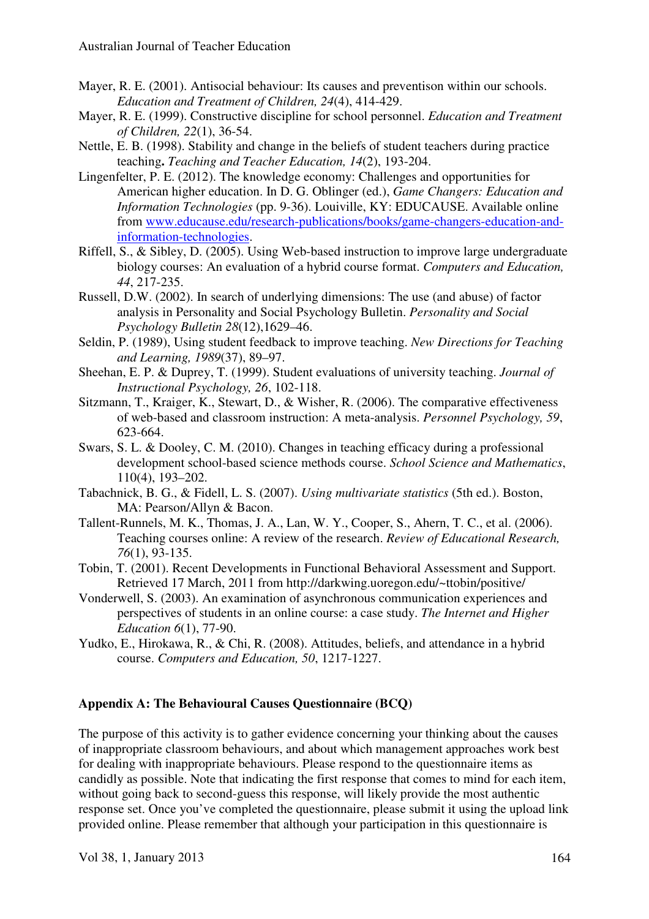- Mayer, R. E. (2001). Antisocial behaviour: Its causes and preventison within our schools. *Education and Treatment of Children, 24*(4), 414-429.
- Mayer, R. E. (1999). Constructive discipline for school personnel. *Education and Treatment of Children, 22*(1), 36-54.
- Nettle, E. B. (1998). Stability and change in the beliefs of student teachers during practice teaching**.** *Teaching and Teacher Education, 14*(2), 193-204.
- Lingenfelter, P. E. (2012). The knowledge economy: Challenges and opportunities for American higher education. In D. G. Oblinger (ed.), *Game Changers: Education and Information Technologies* (pp. 9-36). Louiville, KY: EDUCAUSE. Available online from www.educause.edu/research-publications/books/game-changers-education-andinformation-technologies.
- Riffell, S., & Sibley, D. (2005). Using Web-based instruction to improve large undergraduate biology courses: An evaluation of a hybrid course format. *Computers and Education, 44*, 217-235.
- Russell, D.W. (2002). In search of underlying dimensions: The use (and abuse) of factor analysis in Personality and Social Psychology Bulletin. *Personality and Social Psychology Bulletin 28*(12),1629–46.
- Seldin, P. (1989), Using student feedback to improve teaching. *New Directions for Teaching and Learning, 1989*(37), 89–97.
- Sheehan, E. P. & Duprey, T. (1999). Student evaluations of university teaching. *Journal of Instructional Psychology, 26*, 102-118.
- Sitzmann, T., Kraiger, K., Stewart, D., & Wisher, R. (2006). The comparative effectiveness of web-based and classroom instruction: A meta-analysis. *Personnel Psychology, 59*, 623-664.
- Swars, S. L. & Dooley, C. M. (2010). Changes in teaching efficacy during a professional development school-based science methods course. *School Science and Mathematics*, 110(4), 193–202.
- Tabachnick, B. G., & Fidell, L. S. (2007). *Using multivariate statistics* (5th ed.). Boston, MA: Pearson/Allyn & Bacon.
- Tallent-Runnels, M. K., Thomas, J. A., Lan, W. Y., Cooper, S., Ahern, T. C., et al. (2006). Teaching courses online: A review of the research. *Review of Educational Research, 76*(1), 93-135.
- Tobin, T. (2001). Recent Developments in Functional Behavioral Assessment and Support. Retrieved 17 March, 2011 from http://darkwing.uoregon.edu/~ttobin/positive/
- Vonderwell, S. (2003). An examination of asynchronous communication experiences and perspectives of students in an online course: a case study. *The Internet and Higher Education 6*(1), 77-90.
- Yudko, E., Hirokawa, R., & Chi, R. (2008). Attitudes, beliefs, and attendance in a hybrid course. *Computers and Education, 50*, 1217-1227.

# **Appendix A: The Behavioural Causes Questionnaire (BCQ)**

The purpose of this activity is to gather evidence concerning your thinking about the causes of inappropriate classroom behaviours, and about which management approaches work best for dealing with inappropriate behaviours. Please respond to the questionnaire items as candidly as possible. Note that indicating the first response that comes to mind for each item, without going back to second-guess this response, will likely provide the most authentic response set. Once you've completed the questionnaire, please submit it using the upload link provided online. Please remember that although your participation in this questionnaire is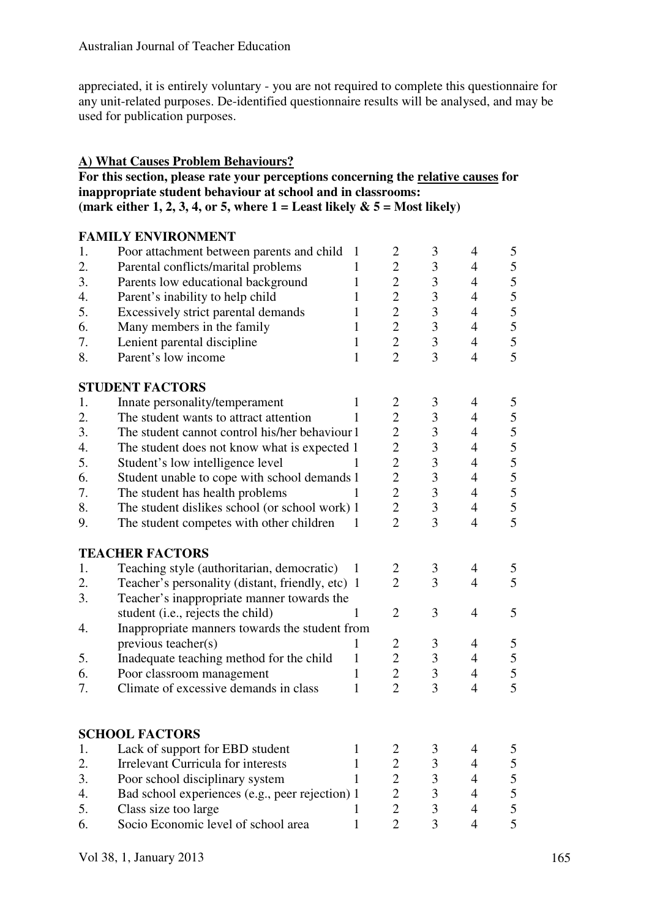appreciated, it is entirely voluntary - you are not required to complete this questionnaire for any unit-related purposes. De-identified questionnaire results will be analysed, and may be used for publication purposes.

# **A) What Causes Problem Behaviours?**

# **For this section, please rate your perceptions concerning the relative causes for inappropriate student behaviour at school and in classrooms: (mark either 1, 2, 3, 4, or 5, where 1 = Least likely & 5 = Most likely)**

|    | <b>FAMILY ENVIRONMENT</b>                        |              |                |                |                |                |
|----|--------------------------------------------------|--------------|----------------|----------------|----------------|----------------|
| 1. | Poor attachment between parents and child        | 1            | $\overline{2}$ | 3              | 4              | 5              |
| 2. | Parental conflicts/marital problems              | 1            | $\mathbf{2}$   | 3              | $\overline{4}$ | 5              |
| 3. | Parents low educational background               | 1            | $\overline{2}$ | 3              | $\overline{4}$ | 5              |
| 4. | Parent's inability to help child                 | 1            | $\overline{2}$ | 3              | $\overline{4}$ | 5              |
| 5. | Excessively strict parental demands              | 1            | $\overline{2}$ | $\mathfrak{Z}$ | $\overline{4}$ | 5              |
| 6. | Many members in the family                       | 1            | $\overline{2}$ | 3              | $\overline{4}$ | 5              |
| 7. | Lenient parental discipline                      | 1            | $\overline{2}$ | 3              | $\overline{4}$ | $rac{5}{5}$    |
| 8. | Parent's low income                              | $\mathbf{1}$ | $\overline{2}$ | $\overline{3}$ | $\overline{4}$ |                |
|    | <b>STUDENT FACTORS</b>                           |              |                |                |                |                |
| 1. | Innate personality/temperament                   | 1            | 2              | 3              | 4              | 5              |
| 2. | The student wants to attract attention           |              | $\overline{2}$ | $\mathfrak{Z}$ | $\overline{4}$ | 5              |
| 3. | The student cannot control his/her behaviour 1   |              | $\overline{c}$ | $\mathfrak{Z}$ | $\overline{4}$ | 5              |
| 4. | The student does not know what is expected 1     |              | $\overline{2}$ | 3              | $\overline{4}$ | 5              |
| 5. | Student's low intelligence level                 |              | $\overline{2}$ | 3              | $\overline{4}$ | 5              |
| 6. | Student unable to cope with school demands 1     |              | $\overline{2}$ | $\mathfrak{Z}$ | $\overline{4}$ | 5              |
| 7. | The student has health problems                  | 1            | $\overline{2}$ | 3              | $\overline{4}$ | $\overline{5}$ |
| 8. | The student dislikes school (or school work) 1   |              | $\overline{2}$ | 3              | $\overline{4}$ | $rac{5}{5}$    |
| 9. | The student competes with other children         | 1            | $\overline{2}$ | 3              | $\overline{4}$ |                |
|    | <b>TEACHER FACTORS</b>                           |              |                |                |                |                |
| 1. | Teaching style (authoritarian, democratic)       | 1            | 2              | 3              | 4              | 5              |
| 2. | Teacher's personality (distant, friendly, etc) 1 |              | $\overline{2}$ | 3              | $\overline{4}$ | 5              |
| 3. | Teacher's inappropriate manner towards the       |              |                |                |                |                |
|    | student (i.e., rejects the child)                | 1            | $\overline{2}$ | 3              | $\overline{4}$ | 5              |
| 4. | Inappropriate manners towards the student from   |              |                |                |                |                |
|    | previous teacher(s)                              | 1            | $\overline{c}$ | 3              | $\overline{4}$ | 5              |
| 5. | Inadequate teaching method for the child         | 1            | $\overline{2}$ | 3              | $\overline{4}$ | 5              |
| 6. | Poor classroom management                        | 1            | $\overline{2}$ | $\mathfrak{Z}$ | $\overline{4}$ | 5              |
| 7. | Climate of excessive demands in class            | 1            | $\overline{2}$ | 3              | $\overline{4}$ | 5              |
|    |                                                  |              |                |                |                |                |
|    | <b>SCHOOL FACTORS</b>                            |              |                |                |                |                |
| 1. | Lack of support for EBD student                  | 1            | $\overline{2}$ | 3              | 4              | 5              |
| 2. | <b>Irrelevant Curricula for interests</b>        | 1            | $\overline{2}$ | 3              | $\overline{4}$ | 5              |
| 3. | Poor school disciplinary system                  | 1            | $\overline{c}$ | 3              | $\overline{4}$ | 5              |
| 4. | Bad school experiences (e.g., peer rejection) 1  |              | $\overline{c}$ | 3              | $\overline{4}$ | 5              |
| 5. | Class size too large                             |              | $\overline{2}$ | 3              | $\overline{4}$ | 5              |
| 6. | Socio Economic level of school area              | 1            | $\overline{2}$ | 3              | $\overline{4}$ | 5              |